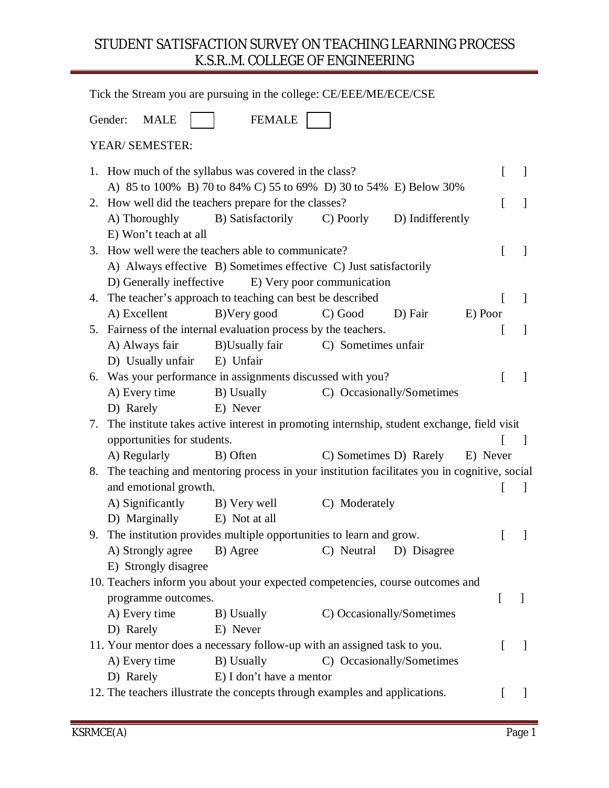#### STUDENT SATISFACTION SURVEY ON TEACHING LEARNING PROCESS K.S.R..M. COLLEGE OF ENGINEERING

|                   |                             | Tick the Stream you are pursuing in the college: CE/EEE/ME/ECE/CSE                          |                     |                           |          |              |                          |
|-------------------|-----------------------------|---------------------------------------------------------------------------------------------|---------------------|---------------------------|----------|--------------|--------------------------|
| Gender:           | <b>MALE</b>                 | <b>FEMALE</b>                                                                               |                     |                           |          |              |                          |
| YEAR/ SEMESTER:   |                             |                                                                                             |                     |                           |          |              |                          |
|                   |                             | 1. How much of the syllabus was covered in the class?                                       |                     |                           |          | L            | $\mathcal{L}$            |
|                   |                             | A) 85 to 100% B) 70 to 84% C) 55 to 69% D) 30 to 54% E) Below 30%                           |                     |                           |          |              |                          |
|                   |                             | 2. How well did the teachers prepare for the classes?                                       |                     |                           |          | $\Gamma$     |                          |
| A) Thoroughly     | E) Won't teach at all       | B) Satisfactorily                                                                           | C) Poorly           | D) Indifferently          |          |              |                          |
|                   |                             | 3. How well were the teachers able to communicate?                                          |                     |                           |          | L            | 1                        |
|                   |                             | A) Always effective B) Sometimes effective C) Just satisfactorily                           |                     |                           |          |              |                          |
|                   | D) Generally ineffective    | E) Very poor communication                                                                  |                     |                           |          |              |                          |
| 4.                |                             | The teacher's approach to teaching can best be described                                    |                     |                           |          | $\lceil$     | 1                        |
| A) Excellent      |                             | B) Very good                                                                                | C) Good             | D) Fair                   | E) Poor  |              |                          |
|                   |                             | 5. Fairness of the internal evaluation process by the teachers.                             |                     |                           |          | L            | $\perp$                  |
| A) Always fair    |                             | B)Usually fair                                                                              | C) Sometimes unfair |                           |          |              |                          |
|                   | D) Usually unfair           | E) Unfair                                                                                   |                     |                           |          |              |                          |
|                   |                             | 6. Was your performance in assignments discussed with you?                                  |                     |                           |          | L            | $\overline{\phantom{a}}$ |
| A) Every time     |                             | B) Usually                                                                                  |                     | C) Occasionally/Sometimes |          |              |                          |
| D) Rarely         |                             | E) Never                                                                                    |                     |                           |          |              |                          |
| 7.                |                             | The institute takes active interest in promoting internship, student exchange, field visit  |                     |                           |          |              |                          |
|                   | opportunities for students. |                                                                                             |                     |                           |          | $\mathbf{I}$ | - 1                      |
| A) Regularly      |                             | B) Often                                                                                    |                     | C) Sometimes D) Rarely    | E) Never |              |                          |
| 8.                |                             | The teaching and mentoring process in your institution facilitates you in cognitive, social |                     |                           |          |              |                          |
|                   | and emotional growth.       |                                                                                             |                     |                           |          | $\lfloor$    | $\perp$                  |
|                   |                             | A) Significantly B) Very well                                                               | C) Moderately       |                           |          |              |                          |
|                   | D) Marginally               | E) Not at all                                                                               |                     |                           |          |              |                          |
| 9.                |                             | The institution provides multiple opportunities to learn and grow.                          |                     |                           |          |              |                          |
| A) Strongly agree |                             | B) Agree                                                                                    | C) Neutral          | D) Disagree               |          |              |                          |
|                   | E) Strongly disagree        |                                                                                             |                     |                           |          |              |                          |
|                   |                             | 10. Teachers inform you about your expected competencies, course outcomes and               |                     |                           |          |              |                          |
|                   | programme outcomes.         |                                                                                             |                     |                           |          | L            |                          |
| A) Every time     |                             | B) Usually                                                                                  |                     | C) Occasionally/Sometimes |          |              |                          |
| D) Rarely         |                             | E) Never                                                                                    |                     |                           |          |              |                          |
|                   |                             | 11. Your mentor does a necessary follow-up with an assigned task to you.                    |                     |                           |          |              | $\overline{\phantom{a}}$ |
| A) Every time     |                             | B) Usually                                                                                  |                     | C) Occasionally/Sometimes |          |              |                          |
| D) Rarely         |                             | E) I don't have a mentor                                                                    |                     |                           |          |              |                          |
|                   |                             | 12. The teachers illustrate the concepts through examples and applications.                 |                     |                           |          | $\mathbf{I}$ | $\mathbf{I}$             |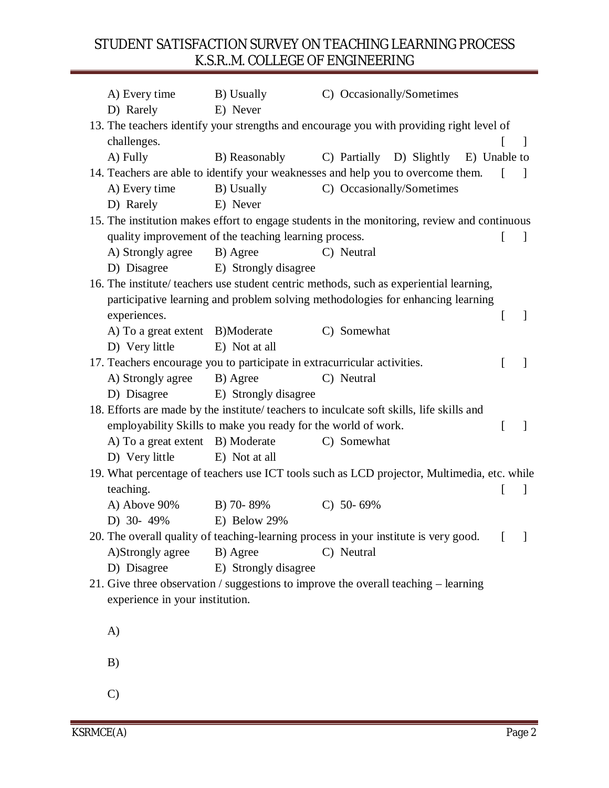#### STUDENT SATISFACTION SURVEY ON TEACHING LEARNING PROCESS K.S.R..M. COLLEGE OF ENGINEERING

| E) Never<br>D) Rarely<br>13. The teachers identify your strengths and encourage you with providing right level of<br>challenges.<br>-1<br>A) Fully<br>B) Reasonably<br>C) Partially D) Slightly<br>E) Unable to<br>14. Teachers are able to identify your weaknesses and help you to overcome them.<br>$\mathbf{I}$<br>$\mathcal{L}$<br>A) Every time<br>B) Usually<br>C) Occasionally/Sometimes<br>D) Rarely<br>E) Never<br>15. The institution makes effort to engage students in the monitoring, review and continuous<br>quality improvement of the teaching learning process.<br>L<br>$\perp$<br>C) Neutral<br>A) Strongly agree<br>B) Agree<br>E) Strongly disagree<br>D) Disagree<br>16. The institute/ teachers use student centric methods, such as experiential learning,<br>participative learning and problem solving methodologies for enhancing learning<br>experiences.<br>L<br>$\perp$<br>C) Somewhat<br>A) To a great extent B)Moderate<br>D) Very little<br>E) Not at all<br>17. Teachers encourage you to participate in extracurricular activities.<br>ſ<br>A) Strongly agree<br>B) Agree<br>C) Neutral |
|-----------------------------------------------------------------------------------------------------------------------------------------------------------------------------------------------------------------------------------------------------------------------------------------------------------------------------------------------------------------------------------------------------------------------------------------------------------------------------------------------------------------------------------------------------------------------------------------------------------------------------------------------------------------------------------------------------------------------------------------------------------------------------------------------------------------------------------------------------------------------------------------------------------------------------------------------------------------------------------------------------------------------------------------------------------------------------------------------------------------------------|
|                                                                                                                                                                                                                                                                                                                                                                                                                                                                                                                                                                                                                                                                                                                                                                                                                                                                                                                                                                                                                                                                                                                             |
|                                                                                                                                                                                                                                                                                                                                                                                                                                                                                                                                                                                                                                                                                                                                                                                                                                                                                                                                                                                                                                                                                                                             |
|                                                                                                                                                                                                                                                                                                                                                                                                                                                                                                                                                                                                                                                                                                                                                                                                                                                                                                                                                                                                                                                                                                                             |
|                                                                                                                                                                                                                                                                                                                                                                                                                                                                                                                                                                                                                                                                                                                                                                                                                                                                                                                                                                                                                                                                                                                             |
|                                                                                                                                                                                                                                                                                                                                                                                                                                                                                                                                                                                                                                                                                                                                                                                                                                                                                                                                                                                                                                                                                                                             |
|                                                                                                                                                                                                                                                                                                                                                                                                                                                                                                                                                                                                                                                                                                                                                                                                                                                                                                                                                                                                                                                                                                                             |
|                                                                                                                                                                                                                                                                                                                                                                                                                                                                                                                                                                                                                                                                                                                                                                                                                                                                                                                                                                                                                                                                                                                             |
|                                                                                                                                                                                                                                                                                                                                                                                                                                                                                                                                                                                                                                                                                                                                                                                                                                                                                                                                                                                                                                                                                                                             |
|                                                                                                                                                                                                                                                                                                                                                                                                                                                                                                                                                                                                                                                                                                                                                                                                                                                                                                                                                                                                                                                                                                                             |
|                                                                                                                                                                                                                                                                                                                                                                                                                                                                                                                                                                                                                                                                                                                                                                                                                                                                                                                                                                                                                                                                                                                             |
|                                                                                                                                                                                                                                                                                                                                                                                                                                                                                                                                                                                                                                                                                                                                                                                                                                                                                                                                                                                                                                                                                                                             |
|                                                                                                                                                                                                                                                                                                                                                                                                                                                                                                                                                                                                                                                                                                                                                                                                                                                                                                                                                                                                                                                                                                                             |
|                                                                                                                                                                                                                                                                                                                                                                                                                                                                                                                                                                                                                                                                                                                                                                                                                                                                                                                                                                                                                                                                                                                             |
|                                                                                                                                                                                                                                                                                                                                                                                                                                                                                                                                                                                                                                                                                                                                                                                                                                                                                                                                                                                                                                                                                                                             |
|                                                                                                                                                                                                                                                                                                                                                                                                                                                                                                                                                                                                                                                                                                                                                                                                                                                                                                                                                                                                                                                                                                                             |
|                                                                                                                                                                                                                                                                                                                                                                                                                                                                                                                                                                                                                                                                                                                                                                                                                                                                                                                                                                                                                                                                                                                             |
|                                                                                                                                                                                                                                                                                                                                                                                                                                                                                                                                                                                                                                                                                                                                                                                                                                                                                                                                                                                                                                                                                                                             |
| D) Disagree<br>E) Strongly disagree                                                                                                                                                                                                                                                                                                                                                                                                                                                                                                                                                                                                                                                                                                                                                                                                                                                                                                                                                                                                                                                                                         |
| 18. Efforts are made by the institute/ teachers to inculcate soft skills, life skills and                                                                                                                                                                                                                                                                                                                                                                                                                                                                                                                                                                                                                                                                                                                                                                                                                                                                                                                                                                                                                                   |
| employability Skills to make you ready for the world of work.<br>L<br>$\mathbf{I}$                                                                                                                                                                                                                                                                                                                                                                                                                                                                                                                                                                                                                                                                                                                                                                                                                                                                                                                                                                                                                                          |
| A) To a great extent B) Moderate<br>C) Somewhat                                                                                                                                                                                                                                                                                                                                                                                                                                                                                                                                                                                                                                                                                                                                                                                                                                                                                                                                                                                                                                                                             |
| E) Not at all<br>D) Very little                                                                                                                                                                                                                                                                                                                                                                                                                                                                                                                                                                                                                                                                                                                                                                                                                                                                                                                                                                                                                                                                                             |
| 19. What percentage of teachers use ICT tools such as LCD projector, Multimedia, etc. while                                                                                                                                                                                                                                                                                                                                                                                                                                                                                                                                                                                                                                                                                                                                                                                                                                                                                                                                                                                                                                 |
| teaching.<br>1<br>$\mathsf{L}$                                                                                                                                                                                                                                                                                                                                                                                                                                                                                                                                                                                                                                                                                                                                                                                                                                                                                                                                                                                                                                                                                              |
| A) Above 90%<br>B) 70-89%<br>$C)$ 50-69%                                                                                                                                                                                                                                                                                                                                                                                                                                                                                                                                                                                                                                                                                                                                                                                                                                                                                                                                                                                                                                                                                    |
| D) 30-49%<br>E) Below 29%                                                                                                                                                                                                                                                                                                                                                                                                                                                                                                                                                                                                                                                                                                                                                                                                                                                                                                                                                                                                                                                                                                   |
| 20. The overall quality of teaching-learning process in your institute is very good.<br>1                                                                                                                                                                                                                                                                                                                                                                                                                                                                                                                                                                                                                                                                                                                                                                                                                                                                                                                                                                                                                                   |
| A)Strongly agree<br>B) Agree<br>C) Neutral                                                                                                                                                                                                                                                                                                                                                                                                                                                                                                                                                                                                                                                                                                                                                                                                                                                                                                                                                                                                                                                                                  |
| D) Disagree<br>E) Strongly disagree                                                                                                                                                                                                                                                                                                                                                                                                                                                                                                                                                                                                                                                                                                                                                                                                                                                                                                                                                                                                                                                                                         |
| 21. Give three observation / suggestions to improve the overall teaching – learning                                                                                                                                                                                                                                                                                                                                                                                                                                                                                                                                                                                                                                                                                                                                                                                                                                                                                                                                                                                                                                         |
| experience in your institution.                                                                                                                                                                                                                                                                                                                                                                                                                                                                                                                                                                                                                                                                                                                                                                                                                                                                                                                                                                                                                                                                                             |
|                                                                                                                                                                                                                                                                                                                                                                                                                                                                                                                                                                                                                                                                                                                                                                                                                                                                                                                                                                                                                                                                                                                             |
| A)                                                                                                                                                                                                                                                                                                                                                                                                                                                                                                                                                                                                                                                                                                                                                                                                                                                                                                                                                                                                                                                                                                                          |
|                                                                                                                                                                                                                                                                                                                                                                                                                                                                                                                                                                                                                                                                                                                                                                                                                                                                                                                                                                                                                                                                                                                             |
| B)                                                                                                                                                                                                                                                                                                                                                                                                                                                                                                                                                                                                                                                                                                                                                                                                                                                                                                                                                                                                                                                                                                                          |
| $\mathcal{C}$                                                                                                                                                                                                                                                                                                                                                                                                                                                                                                                                                                                                                                                                                                                                                                                                                                                                                                                                                                                                                                                                                                               |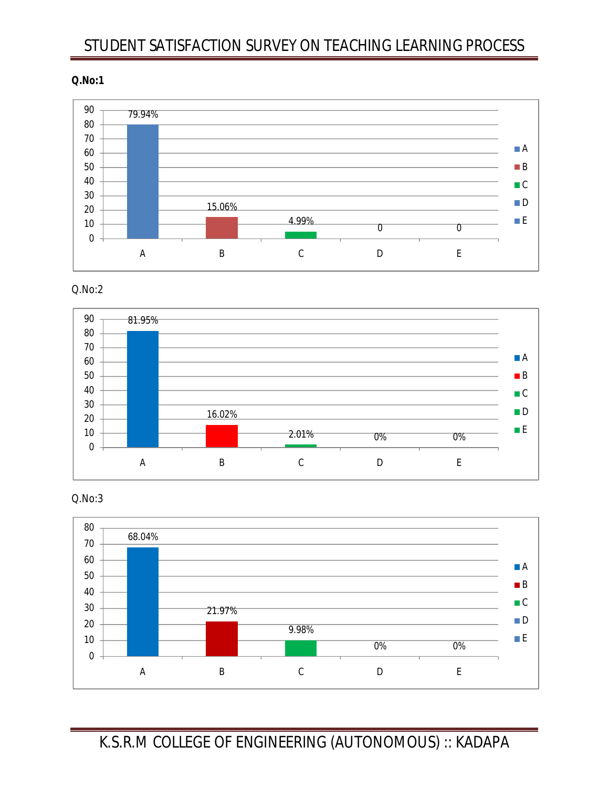#### **Q.No:1**



Q.No:2





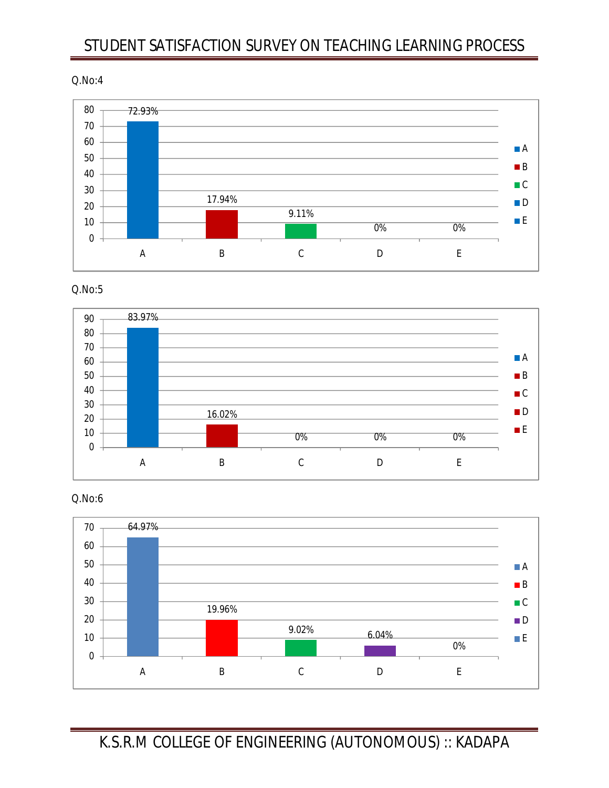Q.No:4



Q.No:5



Q.No:6

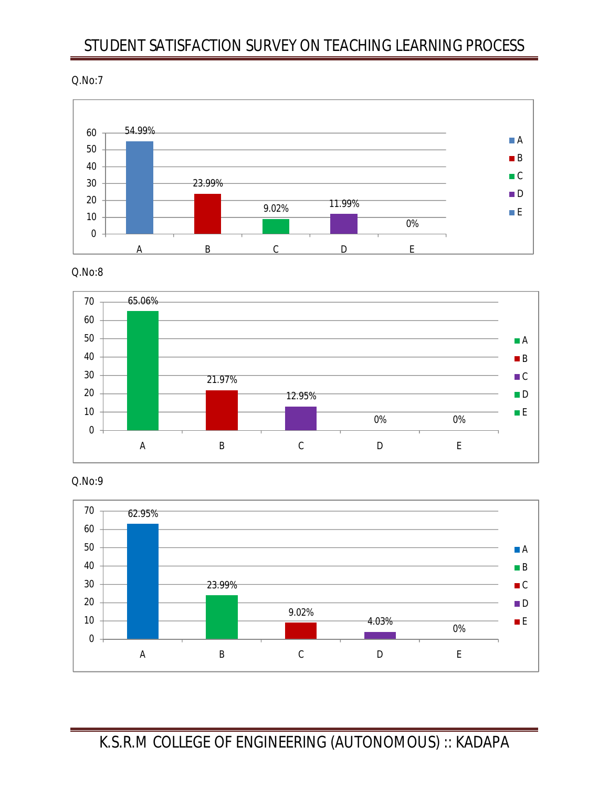Q.No:7



Q.No:8



Q.No:9

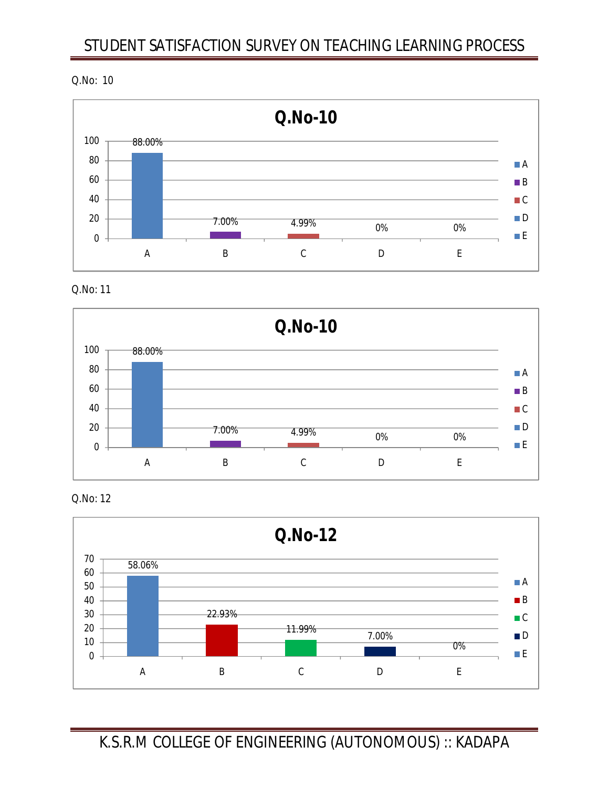Q.No: 10



Q.No: 11



Q.No: 12

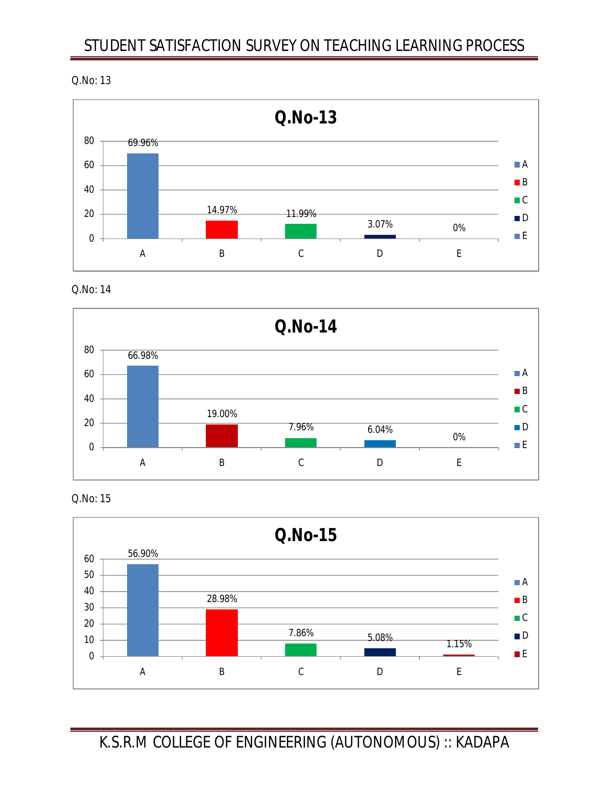Q.No: 13



Q.No: 14



Q.No: 15

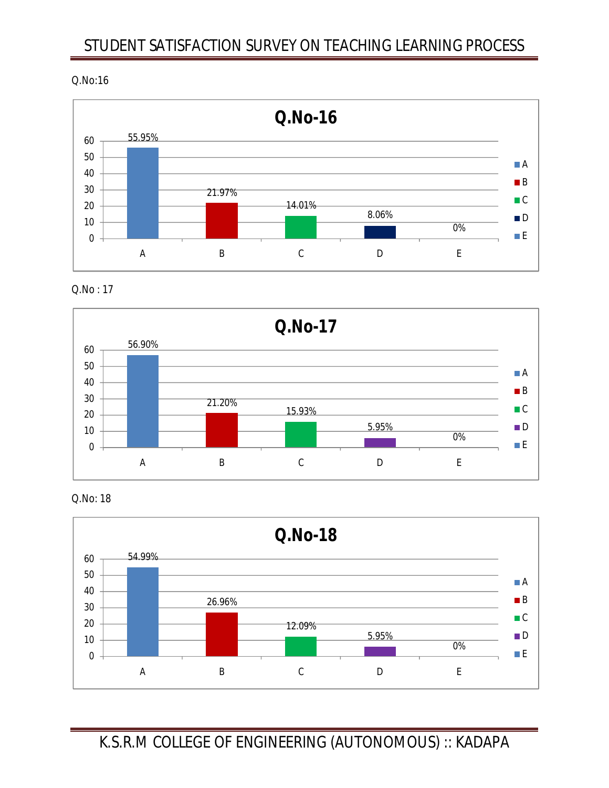#### Q.No:16



Q.No : 17



Q.No: 18